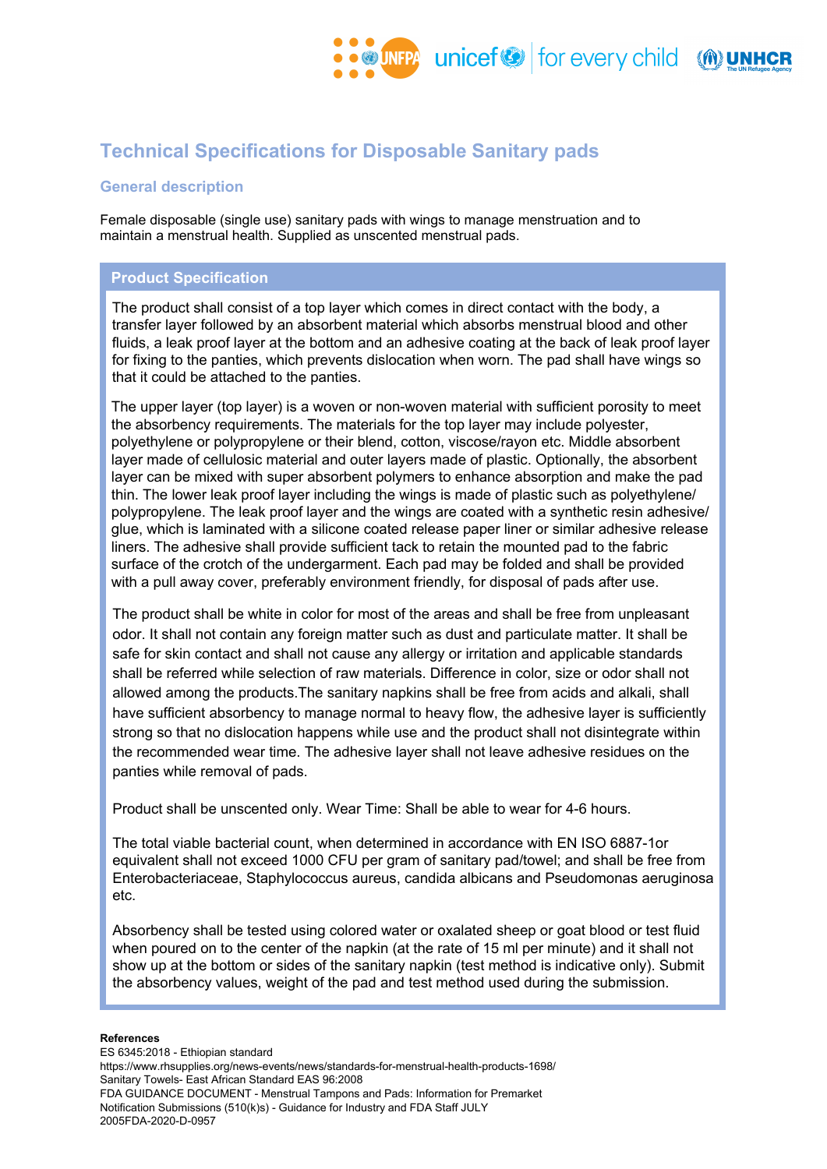# **Technical Specifications for Disposable Sanitary pads**

## **General description**

Female disposable (single use) sanitary pads with wings to manage menstruation and to maintain a menstrual health. Supplied as unscented menstrual pads.

## **Product Specification**

The product shall consist of a top layer which comes in direct contact with the body, a transfer layer followed by an absorbent material which absorbs menstrual blood and other fluids, a leak proof layer at the bottom and an adhesive coating at the back of leak proof layer for fixing to the panties, which prevents dislocation when worn. The pad shall have wings so that it could be attached to the panties.

The upper layer (top layer) is a woven or non-woven material with sufficient porosity to meet the absorbency requirements. The materials for the top layer may include polyester, polyethylene or polypropylene or their blend, cotton, viscose/rayon etc. Middle absorbent layer made of cellulosic material and outer layers made of plastic. Optionally, the absorbent layer can be mixed with super absorbent polymers to enhance absorption and make the pad thin. The lower leak proof layer including the wings is made of plastic such as polyethylene/ polypropylene. The leak proof layer and the wings are coated with a synthetic resin adhesive/ glue, which is laminated with a silicone coated release paper liner or similar adhesive release liners. The adhesive shall provide sufficient tack to retain the mounted pad to the fabric surface of the crotch of the undergarment. Each pad may be folded and shall be provided with a pull away cover, preferably environment friendly, for disposal of pads after use.

The product shall be white in color for most of the areas and shall be free from unpleasant odor. It shall not contain any foreign matter such as dust and particulate matter. It shall be safe for skin contact and shall not cause any allergy or irritation and applicable standards shall be referred while selection of raw materials. Difference in color, size or odor shall not allowed among the products.The sanitary napkins shall be free from acids and alkali, shall have sufficient absorbency to manage normal to heavy flow, the adhesive layer is sufficiently strong so that no dislocation happens while use and the product shall not disintegrate within the recommended wear time. The adhesive layer shall not leave adhesive residues on the panties while removal of pads.

Product shall be unscented only. Wear Time: Shall be able to wear for 4-6 hours.

The total viable bacterial count, when determined in accordance with EN ISO 6887-1or equivalent shall not exceed 1000 CFU per gram of sanitary pad/towel; and shall be free from Enterobacteriaceae, Staphylococcus aureus, candida albicans and Pseudomonas aeruginosa etc.

Absorbency shall be tested using colored water or oxalated sheep or goat blood or test fluid when poured on to the center of the napkin (at the rate of 15 ml per minute) and it shall not show up at the bottom or sides of the sanitary napkin (test method is indicative only). Submit the absorbency values, weight of the pad and test method used during the submission.

#### **References**

ES 6345:2018 - Ethiopian standard https://www.rhsupplies.org/news-events/news/standards-for-menstrual-health-products-1698/ Sanitary Towels- East African Standard EAS 96:2008 FDA GUIDANCE DOCUMENT - Menstrual Tampons and Pads: Information for Premarket Notification Submissions (510(k)s) - Guidance for Industry and FDA Staff JULY 2005FDA-2020-D-0957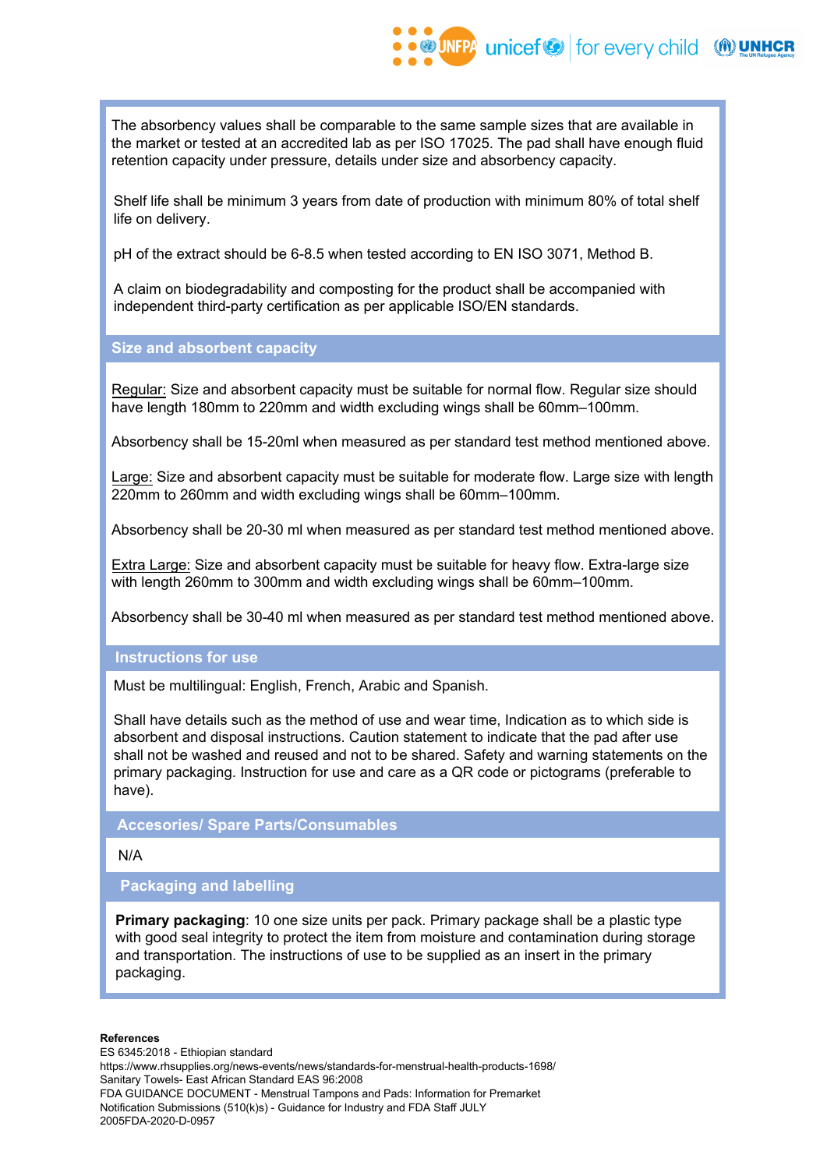The absorbency values shall be comparable to the same sample sizes that are available in the market or tested at an accredited lab as per ISO 17025. The pad shall have enough fluid retention capacity under pressure, details under size and absorbency capacity.

Shelf life shall be minimum 3 years from date of production with minimum 80% of total shelf life on delivery.

pH of the extract should be 6-8.5 when tested according to EN ISO 3071, Method B.

A claim on biodegradability and composting for the product shall be accompanied with independent third-party certification as per applicable ISO/EN standards.

**Size and absorbent capacity**

Regular: Size and absorbent capacity must be suitable for normal flow. Regular size should have length 180mm to 220mm and width excluding wings shall be 60mm–100mm.

Absorbency shall be 15-20ml when measured as per standard test method mentioned above.

Large: Size and absorbent capacity must be suitable for moderate flow. Large size with length 220mm to 260mm and width excluding wings shall be 60mm–100mm.

Absorbency shall be 20-30 ml when measured as per standard test method mentioned above.

Extra Large: Size and absorbent capacity must be suitable for heavy flow. Extra-large size with length 260mm to 300mm and width excluding wings shall be 60mm–100mm.

Absorbency shall be 30-40 ml when measured as per standard test method mentioned above.

#### **Instructions for use**

Must be multilingual: English, French, Arabic and Spanish.

Shall have details such as the method of use and wear time, Indication as to which side is absorbent and disposal instructions. Caution statement to indicate that the pad after use shall not be washed and reused and not to be shared. Safety and warning statements on the primary packaging. Instruction for use and care as a QR code or pictograms (preferable to have).

**Accesories/ Spare Parts/Consumables**

N/A

## **Packaging and labelling**

**Primary packaging**: 10 one size units per pack. Primary package shall be a plastic type with good seal integrity to protect the item from moisture and contamination during storage and transportation. The instructions of use to be supplied as an insert in the primary packaging.

#### **References**

ES 6345:2018 - Ethiopian standard https://www.rhsupplies.org/news-events/news/standards-for-menstrual-health-products-1698/ Sanitary Towels- East African Standard EAS 96:2008 FDA GUIDANCE DOCUMENT - Menstrual Tampons and Pads: Information for Premarket Notification Submissions (510(k)s) - Guidance for Industry and FDA Staff JULY 2005FDA-2020-D-0957